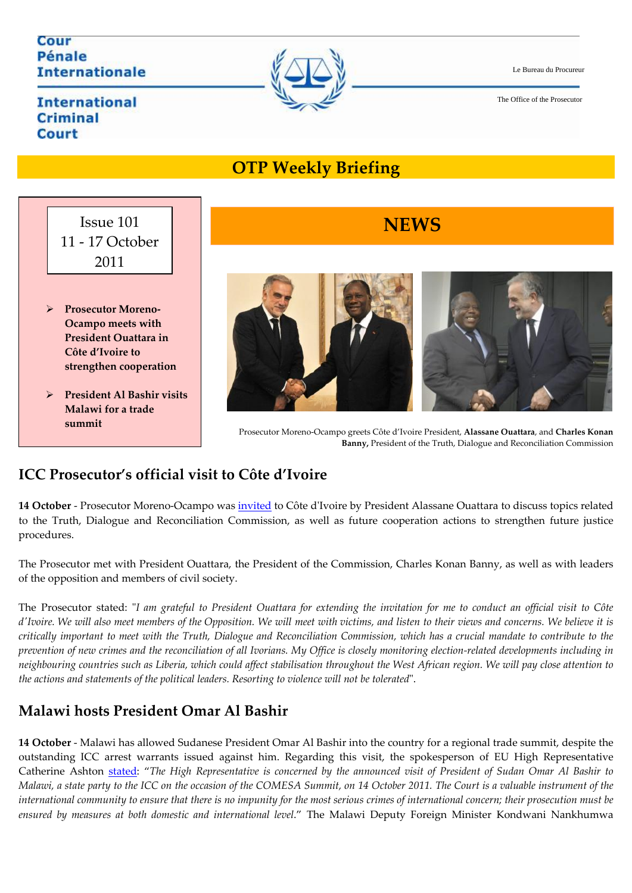Le Bureau du Procureur

### The Office of the Prosecutor

### **International Criminal** Court

**Internationale** 

Cour Pénale

**summit** 



# **OTP Week ly Briefing**





#### Prosecutor Moreno‐Ocampo greets Côte d'Ivoire President, **Alassane Ouattara**, and **Charles Konan Banny, President of the Truth, Dialogue and Reconciliation Commission**

# **ICC Prosecutor's official visit to Côte d'Ivoire**

**14 October** - Prosecutor Moreno-Ocampo was <u>invited</u> to Côte d'Ivoire by President Alassane Ouattara to discuss topics related to the Truth, Dialogue and Reconciliation Commission, as well as future cooperation actions to strengthen future justice procedures.

The Prosecutor met with President Ouattara, the President of the Commission, Charles Konan Banny, as well as with leaders . of the opposition and members of civil society

The Prosecutor stated: "I am grateful to President Ouattara for extending the invitation for me to conduct an official visit to Côte d'Ivoire. We will also meet members of the Opposition. We will meet with victims, and listen to their views and concerns. We believe it is critically important to meet with the Truth, Dialogue and Reconciliation Commission, which has a crucial mandate to contribute to the prevention of new crimes and the reconciliation of all Ivorians. My Office is closely monitoring election-related developments including in neighbouring countries such as Liberia, which could affect stabilisation throughout the West African region. We will pay close attention to *the actions and statements of the political leaders. Resorting to violence will not be tolerated*ʺ.

# **Malawi hosts President Omar Al Bashir**

**14 October** ‐ Malawi has allowed Sudanese President Omar Al Bashir into the country for a regional trade summit, despite the outstanding ICC arrest warrants issued against him. Regarding this visit, the spokesperson of EU High Representative Catherine Ashton <u>stated</u>: "The High Representative is concerned by the announced visit of President of Sudan Omar Al Bashir to Malawi, a state party to the ICC on the occasion of the COMESA Summit, on 14 October 2011. The Court is a valuable instrument of the international community to ensure that there is no impunity for the most serious crimes of international concern; their prosecution must be *ensured by measures at both domestic and international level*." The Malawi Deputy Foreign Minister Kondwani Nankhumwa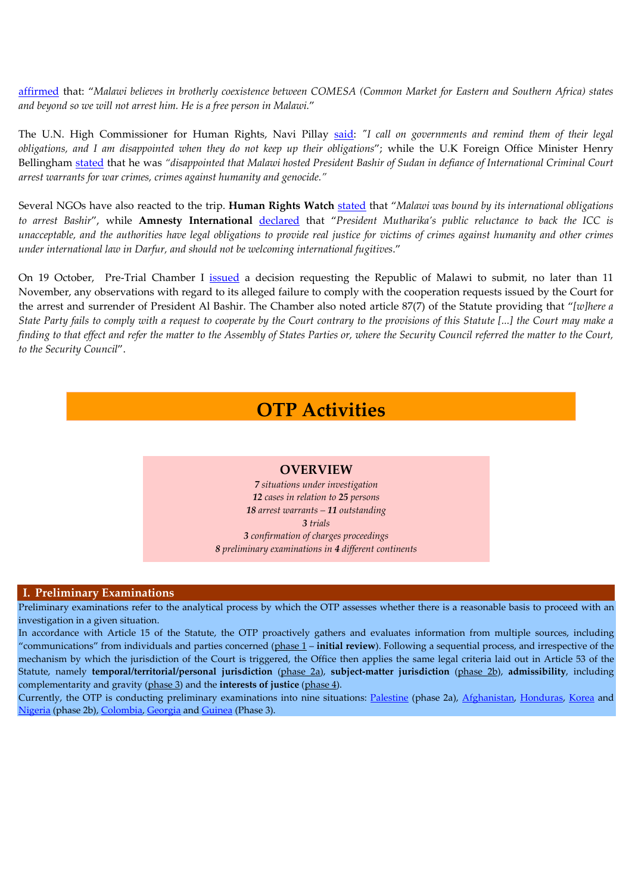affirmed that: "Malawi believes in brotherly coexistence between COMESA (Common Market for Eastern and Southern Africa) states *and beyond so we will not arrest him. He is a free person in Malawi.*"

The U.N. High Commissioner for Human Rights, Navi Pillay [said](http://af.reuters.com/article/topNews/idAFJOE79F01520111016): *ʺI call on governments and remin d them of their legal obligations, and I am disappointed when they do not ke ep up their obligations*"; while the U.K Foreign Office Minister Henry Bellingha<del>m</del> <u>[stated](http://af.reuters.com/article/malawiNews/idAFL5E7LD1ZF20111013)</u> that he was "disappointed that Malawi hosted President Bashir of Sudan in defiance of International Criminal Court *arrest warrants for war crimes, crimes against humanity and genocide."* 

Several NGOs have also reacted to the trip. **Human Rights Watc h** stated that "*Malawi was bound by its international obligations* to arrest Bashir", while **Amnesty International** <u>[declared](http://www.icc-cpi.int/NR/exeres/4530910C-6874-4F4E-BCBE-34B1D71E539A.htm)</u> that "President Mutharika's public reluctance to back the ICC is unacceptable, and the authorities have legal obligations to provide real justice for victims of crimes against humanity and other crimes *under international law in Darfur, and should not be welcoming international fugitives*."

On 19 October, Pre-Trial Chamber I <u>issued</u> a decision requesting the Republic of Malawi to submit, no later than 11 November, any observations with regard to its alleged failure to comply with the cooperation requests issued by the Court for the arrest and surrender of President Al Bashir. The Chamber also noted article 87(7) of the Statute providing that "[w]here a State Party fails to comply with a request to cooperate by the Court contrary to the provisions of this Statute […] the Court may make a finding to that effect and refer the matter to the Assembly of States Parties or, where the Security Council referred the matter to the Court, *to the Security Council*".

# **OTP Activities**

#### **OVERVIEW**

 *cases in relation to 25 persons situations under investigation arrest warrants – 11 outstanding 3 trials confirmation of charges proceedings preliminary examinations in 4 different continents*

#### **I. Preliminary Examinations**

Preliminary examinations refer to the analytical process by which the OTP assesses whether there is a reasonable basis to proceed with an investigation in a given situation.

In accordance with Article 15 of the Statute, the OTP proactively gathers and evaluates information from multiple sources, including "communications" from individuals and parties concerned (phase 1 – **initial review**). Following a sequential process, and irrespective of the mechanism by which the jurisdiction of the Court is triggered, the Office then applies the same legal criteria laid out in Article 53 of the Statute, namely **temporal/territorial/personal jurisdiction** (phase 2a), **subject‐matter jurisdiction** (phase 2b), **admissibility**, including complementarity and gravity (phase 3) and the **interests of justice** (phase 4).

Currently, the OTP is conducting preliminary examinations into nine situations: Palestine (phase 2a), Afghanistan, Honduras, Korea and Nigeria (phase 2b), Colombia, Georgia and Guinea (Phase 3).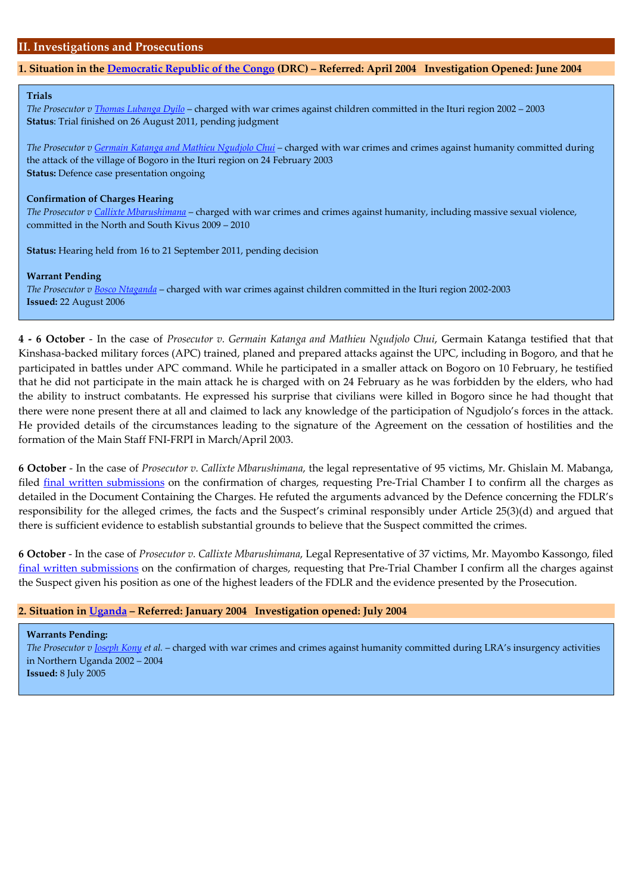### 1. Situation in the Democratic Republic of the Congo (DRC) – Referred: April 2004 Investigation Opened: June 2004

#### **Trials**

*The Prosecutor v <u>Thomas Lubanga Dyilo</u> – charged with war crimes against children committed in the Ituri region 2002 – 2003* **Status**: Trial finished on 26 August 2011, pending judgment

*The Prosecutor v Germain Katanga and Mathieu Ngudjol Chui o* – charged with war crimes and crimes against humanity committed during the attack of the village of Bogoro in the Ituri region on 24 February 2003 **Status:** Defence case presentation ongoing

#### **Confirmation of Charges Hearing**

*The Prosecutor v <u>Callixte Mbarushimana</u>* – charged with war crimes and crimes against humanity, including massive sexual violence, committed in the North and South Kivus 2009 – 2010

**Status:** Hearing held from 16 to 21 September 2011, pending decision

#### **Warrant Pending**

*The Prosecutor v Bosco Ntaganda* – charged with war crimes against children committed in the Ituri region 2002‐2003 **Issued:** 22 August 2006 **Contract Contract** 

**4 - 6 October** - In the case of *Prosecutor v. Germain Katanga and Mathieu Ngudjolo Chui, Germain Katanga testified that that* Kinshasa-backed military forces (APC) trained, planed and prepared attacks against the UPC, including in Bogoro, and that he participated in battles under APC command. While he participated in a smaller attack on Bogoro on 10 February, he testified that he did not participate in the main attack he is charged with on 24 February as he was forbidden by the elders, who had the ability to instruct combatants. He expressed his surprise that civilians were killed in Bogoro since he had thought that there were none present there at all and claimed to lack any knowledge of the participation of Ngudjolo's forces in the attack. He provided details of the circumstances leading to the signature of the Agreement on the cessation of hostilities and the formation of the Main Staff FNI‐FRPI in March/April 2003.

ms, Mr. Ghislain M. Mabanga, **6 October** ‐ In the case of *Prosecutor v. Callixte Mbarushimana*, the legal representative of 95 victi filed <u>final written [submissions](http://www.icc-cpi.int/Menus/ICC/Situations+and+Cases/Situations/Situation+ICC+0204/Uganda.htm)</u> on the confirmation of charges, requesting Pre-Trial Chamber I to confirm all the charges as detailed in the Document Containing the Charges. He refuted the arguments advanced by the Defence concerning the FDLR's responsibility for the alleged crimes, the facts and the Suspect's criminal responsibly under Article 25(3)(d) and argued that there is sufficient evidence to establish substantial grounds to believe that the Suspect committed the crimes.

**October** ‐ In the case of *Prosecutor v. Callixte Mbarushimana*, Legal Representative of 37 victims, Mr. Mayombo Kassongo, filed **6** final written submissions on the confirmation of charges, requesting that Pre-Trial Chamber I confirm all the charges against the Suspect given his position as one of the highest leaders of the FDLR and the evidence presented by the Prosecution.

#### **2. Situation in Uganda – Referred: January 2004 Investigation opened: July 2004**

**Warrants Pending:** *The Prosecutor v Joseph Kony et al.* – charged with war crimes and crimes against humanity committed during LRA's insurgency activities in Northern Uganda 2002 – 2004 **Issued:** 8 July 2005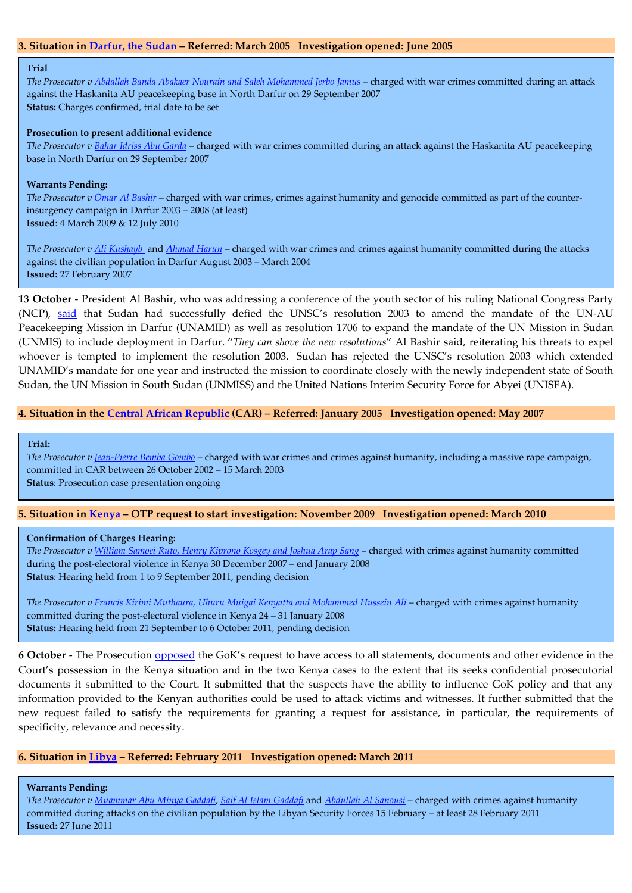#### **3. Situation in Darfur, the Sudan – Referred: March 2005 Investigation opened: June 2005**

#### **Trial**

*The Prosecutor v Abdallah Banda Abakaer Nourain and Saleh Mohammed Jerbo Jamus –* charged with war crimes committed during an attack against the Haskanita AU peacekeeping base in North Darfur on 29 September 2007 **Status:** Charges confirmed, trial date to be set

#### **Prosecution to present additional evidence**

*The Prosecutor v <u>Bahar Idriss Abu Garda</u> – charged with war crimes committed during an attack against the Haskanita AU peacekeeping* base in North Darfur on 29 September 2007

#### **Warrants Pending:**

*The Prosecutor v Omar Al [Bashir](http://www.icc-cpi.int/Menus/ICC/Situations+and+Cases/Situations/Situation+ICC+0205/Related+Cases/ICC+0205+0107/Court+Records/Chambers/Pre+Trial+Chamber+I/WARRANT+OF+ARREST+FOR+ALI+KUSHAYB.htm)* – charged with war crimes, crimes against humanity and genocide committ ed as part of the counter‐ insurgency campaign in Darfur 2003 – 2008 (at least) **Issued**: 4 March 2009 & 12 July 2010

*The Prosecutor v Ali [Kushayb](http://www.sudantribune.com/spip.php?page=backend)* and *Ahmad Harun* – charged with war crimes and crimes against humanity commi tted during the attacks against the civilian population in Darfur August 2003 – March 2004 **Issued:** 27 February 2007

**13 October** ‐ President Al Bashir, who was addressing a conference of the youth sector of his ruling National Congress Party (NCP), <u>[said](http://www.sudantribune.com/spip.php?page=backend)</u> that Sudan had successfully defied the UNSC's resolution 2003 to amend the mandate of the UN-AU Peacekeeping Mission in Darfur (UNAMID) as well as resolution 1706 to expand the mandate of the UN Mission in Sudan (UNMIS) to include deployment in Darfur. "*They n shove the new resolutions*" Al Bashir said, reiterating his threats to expel *ca* whoever is tempted to implement the resolution 2003. Sudan has rejected the UNSC's resolution 2003 which extended UNAMID's mandate for one year and instructed the mission to coordinate closely with the newly independent state of South Sudan, the UN Mission in South Sudan (UNMISS) and the United Nations Interim Security Force for Abyei (UNISFA).

#### 4. Situation in the Central African [Republic](http://www.icc-cpi.int/Menus/ICC/Situations+and+Cases/Situations/Situation+ICC+0109/Situation+Index.htm) (CAR) - Referred: January 2005 Investigation opened: May 2007

**Trial:** 

*The Prosecutor v Jean‐Pierre Bemba Gombo* – charged with war crimes and crimes against humanity, including a massive rape campaign, committed in CAR between 26 October 2002 – 15 March 2003 **Status**: Prosecution case presentation ongoing

#### 5. Situation in Kenya – OTP request to start investigation: November 2009 Investigation opened: March 2010

#### **Confirmation of Charges Hearing:**

*The Prosecutor v [William](http://www.icc-cpi.int/Menus/Go?id=533ab7aa-952c-4075-a258-a1fa79dd98f1&lan=en-GB) Samoei Ruto, Henry Kiprono Kosgey and Joshua Arap Sang* – charged with crimes against h umanity committed during the post‐electoral violence in Kenya 30 December 2007 – end January 2008 **Status**: Hearing held from 1 to 9 September 2011, pending decision

*The Prosecutor v Francis Kirimi [Muthaura,](http://www.icc-cpi.int/menus/icc/situations%20and%20cases/situations/icc0111/) Uhuru Muigai Kenyatta and Mohammed Hussein Ali* – charged with crimes against humanity committed during the post-electoral violence in Kenya 24 – 31 January 2008 **Status:** Hearing held from 21 September to 6 October 2011, pending decision 

**6 October** ‐ The Prosecution opposed the GoK's request to have access to all statements, documents and other evidence in the Court's possession in the Kenya situation and in the two Kenya cases to the extent that its seeks confidential prosecutorial documents it submitted to the Court. It submitted that the suspects have the ability to influence GoK policy and that any information provided to the Kenyan authorities could be used to attack victims and witnesses. It further submitted that the new request failed to satisfy the requirements for granting a request for assistance, in particular, the requirements of specificity, relevance and necessity.

#### **6. Situation in Libya – Referred: February 2011 Investigation opened: March 2011**

**Warrants Pending:** 

The Prosecutor v Muammar Abu Minya Gaddafi, Saif Al Islam Gaddafi and Abdullah Al Sanousi - charged with crimes against humanity committed during attacks on the civilian population by the Libyan Security Forces 15 February – at least 28 February 2011 **Issued:** 27 June 2011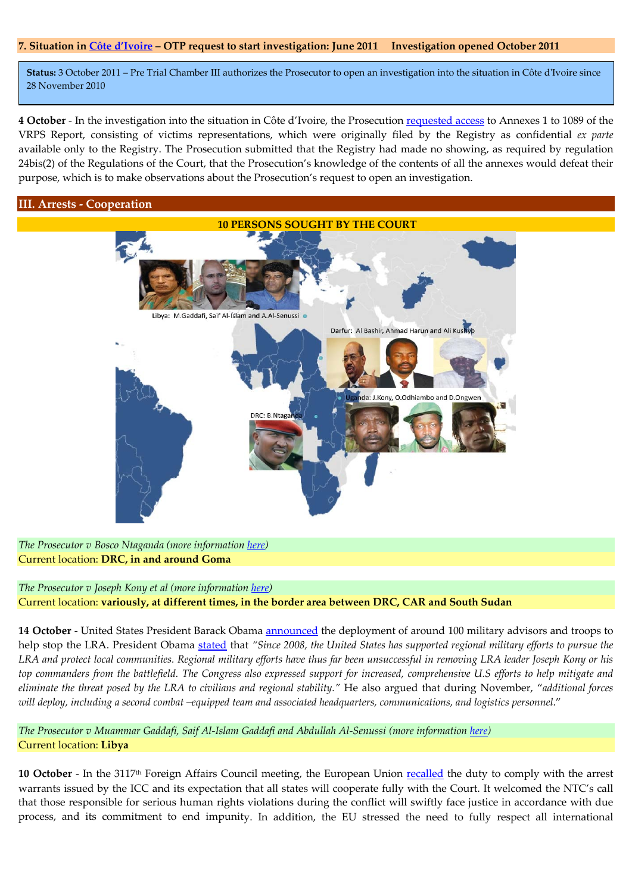#### 7. Situation in Côte d'Ivoire – OTP request to start investigation: June 2011 Investigation opened October 2011

**Status:** 3 October 2011 – Pre Trial Chamber III authorizes the Prosecutor to open an investigation into the situation in Côte dʹIvoire since 28 November 2010

**4 October** ‐ In the investigation into the situation in Côte d'Ivoire, the Prosecution [requested](http://www.icc-cpi.int/Menus/Go?id=a0c7bfd2-1317-425b-95d1-17280c16dfff&lan=en-GB) access to Annexes 1 to 1089 of the VRPS Report, consisting of victims representations, which were originally filed by the Registry as confidential *ex parte* available only to the Registry. The Prosecution submitted that the Registry had made no showing, as required by regulation 24bis(2) of the Regulations of the Court, that the Prosecution's knowledge of the contents of all the annexes would defeat their purpose, which is to make observations about the Prosecution's request to open an investigation.

#### **III. Arrests ‐ Cooperation**



*The Prosecutor v Bosco Ntaganda (more information here)*  Current location: **DRC, in and around Goma**

*The Prosecutor v Joseph Kony et al (more information [here\)](http://www.icc-cpi.int/Menus/Go?id=03c13810-f23d-488b-aa97-26e34bc22e2f&lan=en-GB)*  Current location: **variously, at different times, in the border area between DRC, CAR and South Sudan**

**14 October** - United States President Barack Obama <u>[announced](http://consilium.europa.eu/uedocs/cms_data/docs/pressdata/EN/foraff/125028.pdf)</u> the deployment of around 100 military advisors and troops to help stop the LRA. President Obama <u>[stated](http://consilium.europa.eu/uedocs/cms_data/docs/pressdata/EN/foraff/125028.pdf)</u> that "Since 2008, the United States has supported regional military efforts to pursue the LRA and protect local communities. Regional military efforts have thus far been unsuccessful in removing LRA leader Joseph Kony or his top commanders from the battlefield. The Congress also expressed support for increased, comprehensive U.S efforts to help mitigate and eliminate the threat posed by the LRA to civilians and regional stability." He also argued that during November, "additional forces will deploy, including a second combat -equipped team and associated headquarters, communications, and logistics personnel."

The Prosecutor v Muammar Gaddafi, Saif Al-Islam Gaddafi and Abdullah Al-Senussi (more information here) Current location: **Libya**

**10 October** ‐ In the 3117th Foreign Affairs Council meeting, the European Union recalled the duty to comply with the arrest warrants issued by the ICC and its expectation that all states will cooperate fully with the Court. It welcomed the NTC's call that those responsible for serious human rights violations during the conflict will swiftly face justice in accordance with due process, and its commitment to end impunity. In addition, the EU stressed the need to fully respect all international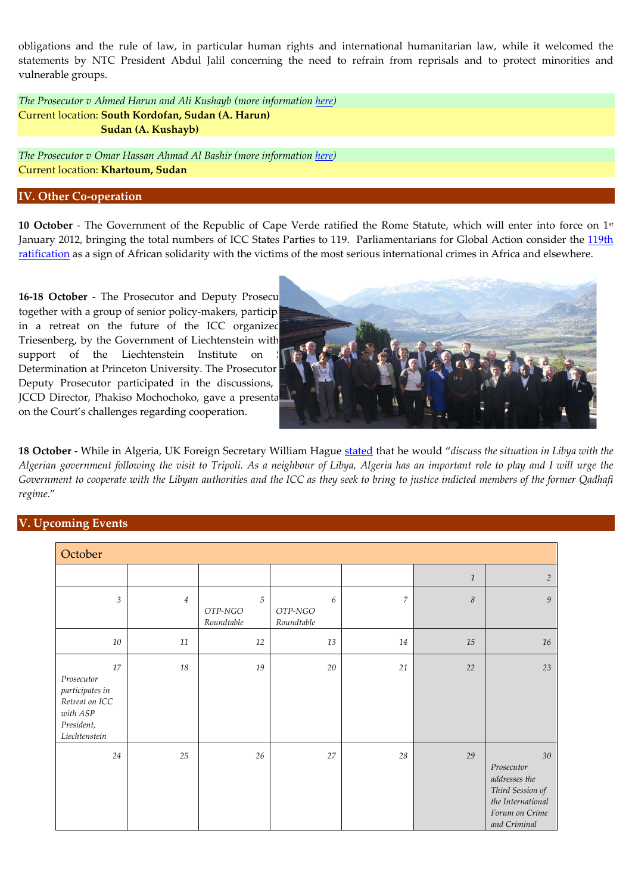obligations and the rule of law, in particular human rights and international humanitarian law, while it welcomed the statements by NTC President Abdul Jalil concerning the need to refrain from reprisals and to protect minorities and vulnerable groups.

*The Prosecutor v Ahmed Harun and Ali Kushayb (more information here)*  **Current location: South Kordofan, Sudan (A. Harun) Sudan (A. Kushayb)**

*The Prosecutor v Omar Hassan Ahmad Al Bashir (more information here)*  Current location: **Khartoum, Sudan**

#### **IV. Other Co‐operation**

10 October - The Government of the Republic of Cape Verde ratified the Rome Statute, which will enter into force on 1st January 2012, bringing the total numbers of ICC States Parties to 119. Parliamentarians for Global Action consider the 119th <u>ratification</u> as a sign of African solidarity with the victims of the most serious international crimes in Africa and elsewhere.

**16-18 October** - The Prosecutor and Deputy Prosecu together with a group of senior policy-makers, participants in a retreat on the future of the ICC organized Triesenberg, by the Government of Liechtenstein with JCCD Director, Phakiso Mochochoko, gave a presenta on the Court's challenges regarding cooperation. support of the Liechtenstein Institute on Determination at Princeton University. The Prosecutor Deputy Prosecutor participated in the discussions,



**18 October** ‐ While in Algeria, UK Foreign Secretary William Hague stated that he would "*discuss the situation in Libya with the* Algerian government following the visit to Tripoli. As a neighbour of Libya, Algeria has an important role to play and I will urge the Government to cooperate with the Libyan authorities and the ICC as they seek to bring to justice indicted members of the former Qadhafi *regime.*"

### **V. Upcoming Events**

| October                                                                                          |                |                            |                            |                |              |                                                                                                              |  |
|--------------------------------------------------------------------------------------------------|----------------|----------------------------|----------------------------|----------------|--------------|--------------------------------------------------------------------------------------------------------------|--|
|                                                                                                  |                |                            |                            |                | $\mathbf{1}$ | $\overline{2}$                                                                                               |  |
| $\boldsymbol{\beta}$                                                                             | $\overline{4}$ | 5<br>OTP-NGO<br>Roundtable | 6<br>OTP-NGO<br>Roundtable | $\overline{7}$ | 8            | $\boldsymbol{9}$                                                                                             |  |
| $10\,$                                                                                           | 11             | 12                         | 13                         | 14             | 15           | 16                                                                                                           |  |
| 17<br>Prosecutor<br>participates in<br>Retreat on ICC<br>with ASP<br>President,<br>Liechtenstein | 18             | 19                         | 20                         | 21             | 22           | 23                                                                                                           |  |
| 24                                                                                               | 25             | 26                         | 27                         | 28             | 29           | 30<br>Prosecutor<br>addresses the<br>Third Session of<br>the International<br>Forum on Crime<br>and Criminal |  |